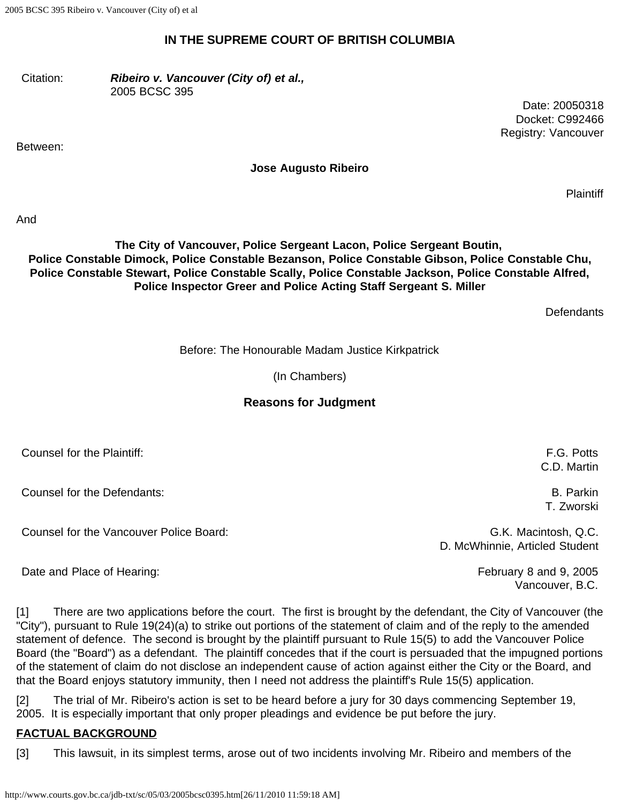2005 BCSC 395 Ribeiro v. Vancouver (City of) et al

#### **IN THE SUPREME COURT OF BRITISH COLUMBIA**

Citation: *Ribeiro v. Vancouver (City of) et al.,* 2005 BCSC 395

Between:

**Jose Augusto Ribeiro**

**Plaintiff** 

Date: 20050318 Docket: C992466 Registry: Vancouver

And

#### **The City of Vancouver, Police Sergeant Lacon, Police Sergeant Boutin, Police Constable Dimock, Police Constable Bezanson, Police Constable Gibson, Police Constable Chu, Police Constable Stewart, Police Constable Scally, Police Constable Jackson, Police Constable Alfred, Police Inspector Greer and Police Acting Staff Sergeant S. Miller**

**Defendants** 

Before: The Honourable Madam Justice Kirkpatrick

(In Chambers)

## **Reasons for Judgment**

| Counsel for the Plaintiff:              | F.G. Potts<br>C.D. Martin |
|-----------------------------------------|---------------------------|
| Counsel for the Defendants:             | B. Parkin<br>T. Zworski   |
| Counsel for the Vancouver Police Board: | G.K. Macintosh, Q.C.      |

D. McWhinnie, Articled Student

Vancouver, B.C.

Date and Place of Hearing: The Contract of Australian Contract of Tebruary 8 and 9, 2005

[1] There are two applications before the court. The first is brought by the defendant, the City of Vancouver (the "City"), pursuant to Rule 19(24)(a) to strike out portions of the statement of claim and of the reply to the amended statement of defence. The second is brought by the plaintiff pursuant to Rule 15(5) to add the Vancouver Police Board (the "Board") as a defendant. The plaintiff concedes that if the court is persuaded that the impugned portions of the statement of claim do not disclose an independent cause of action against either the City or the Board, and that the Board enjoys statutory immunity, then I need not address the plaintiff's Rule 15(5) application.

[2] The trial of Mr. Ribeiro's action is set to be heard before a jury for 30 days commencing September 19, 2005. It is especially important that only proper pleadings and evidence be put before the jury.

## **FACTUAL BACKGROUND**

[3] This lawsuit, in its simplest terms, arose out of two incidents involving Mr. Ribeiro and members of the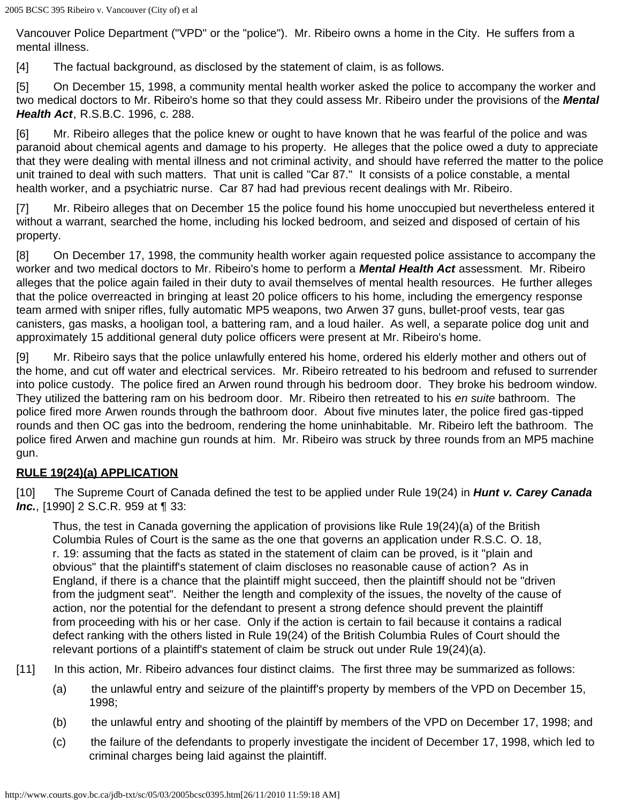Vancouver Police Department ("VPD" or the "police"). Mr. Ribeiro owns a home in the City. He suffers from a mental illness.

[4] The factual background, as disclosed by the statement of claim, is as follows.

[5] On December 15, 1998, a community mental health worker asked the police to accompany the worker and two medical doctors to Mr. Ribeiro's home so that they could assess Mr. Ribeiro under the provisions of the *Mental Health Act*, R.S.B.C. 1996, c. 288.

[6] Mr. Ribeiro alleges that the police knew or ought to have known that he was fearful of the police and was paranoid about chemical agents and damage to his property. He alleges that the police owed a duty to appreciate that they were dealing with mental illness and not criminal activity, and should have referred the matter to the police unit trained to deal with such matters. That unit is called "Car 87." It consists of a police constable, a mental health worker, and a psychiatric nurse. Car 87 had had previous recent dealings with Mr. Ribeiro.

[7] Mr. Ribeiro alleges that on December 15 the police found his home unoccupied but nevertheless entered it without a warrant, searched the home, including his locked bedroom, and seized and disposed of certain of his property.

[8] On December 17, 1998, the community health worker again requested police assistance to accompany the worker and two medical doctors to Mr. Ribeiro's home to perform a *Mental Health Act* assessment. Mr. Ribeiro alleges that the police again failed in their duty to avail themselves of mental health resources. He further alleges that the police overreacted in bringing at least 20 police officers to his home, including the emergency response team armed with sniper rifles, fully automatic MP5 weapons, two Arwen 37 guns, bullet-proof vests, tear gas canisters, gas masks, a hooligan tool, a battering ram, and a loud hailer. As well, a separate police dog unit and approximately 15 additional general duty police officers were present at Mr. Ribeiro's home.

[9] Mr. Ribeiro says that the police unlawfully entered his home, ordered his elderly mother and others out of the home, and cut off water and electrical services. Mr. Ribeiro retreated to his bedroom and refused to surrender into police custody. The police fired an Arwen round through his bedroom door. They broke his bedroom window. They utilized the battering ram on his bedroom door. Mr. Ribeiro then retreated to his *en suite* bathroom. The police fired more Arwen rounds through the bathroom door. About five minutes later, the police fired gas-tipped rounds and then OC gas into the bedroom, rendering the home uninhabitable. Mr. Ribeiro left the bathroom. The police fired Arwen and machine gun rounds at him. Mr. Ribeiro was struck by three rounds from an MP5 machine gun.

## **RULE 19(24)(a) APPLICATION**

[10] The Supreme Court of Canada defined the test to be applied under Rule 19(24) in *Hunt v. Carey Canada Inc.*, [1990] 2 S.C.R. 959 at **[** 33:

Thus, the test in Canada governing the application of provisions like Rule 19(24)(a) of the British Columbia Rules of Court is the same as the one that governs an application under R.S.C. O. 18, r. 19: assuming that the facts as stated in the statement of claim can be proved, is it "plain and obvious" that the plaintiff's statement of claim discloses no reasonable cause of action? As in England, if there is a chance that the plaintiff might succeed, then the plaintiff should not be "driven from the judgment seat". Neither the length and complexity of the issues, the novelty of the cause of action, nor the potential for the defendant to present a strong defence should prevent the plaintiff from proceeding with his or her case. Only if the action is certain to fail because it contains a radical defect ranking with the others listed in Rule 19(24) of the British Columbia Rules of Court should the relevant portions of a plaintiff's statement of claim be struck out under Rule 19(24)(a).

[11] In this action, Mr. Ribeiro advances four distinct claims. The first three may be summarized as follows:

- (a) the unlawful entry and seizure of the plaintiff's property by members of the VPD on December 15, 1998;
- (b) the unlawful entry and shooting of the plaintiff by members of the VPD on December 17, 1998; and
- (c) the failure of the defendants to properly investigate the incident of December 17, 1998, which led to criminal charges being laid against the plaintiff.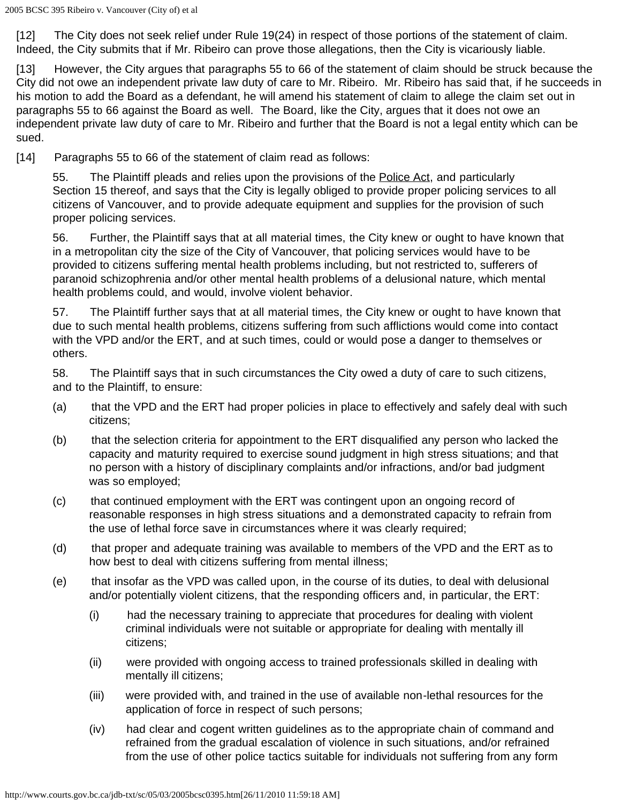[12] The City does not seek relief under Rule 19(24) in respect of those portions of the statement of claim. Indeed, the City submits that if Mr. Ribeiro can prove those allegations, then the City is vicariously liable.

[13] However, the City argues that paragraphs 55 to 66 of the statement of claim should be struck because the City did not owe an independent private law duty of care to Mr. Ribeiro. Mr. Ribeiro has said that, if he succeeds in his motion to add the Board as a defendant, he will amend his statement of claim to allege the claim set out in paragraphs 55 to 66 against the Board as well. The Board, like the City, argues that it does not owe an independent private law duty of care to Mr. Ribeiro and further that the Board is not a legal entity which can be sued.

[14] Paragraphs 55 to 66 of the statement of claim read as follows:

55. The Plaintiff pleads and relies upon the provisions of the **Police Act**, and particularly Section 15 thereof, and says that the City is legally obliged to provide proper policing services to all citizens of Vancouver, and to provide adequate equipment and supplies for the provision of such proper policing services.

56. Further, the Plaintiff says that at all material times, the City knew or ought to have known that in a metropolitan city the size of the City of Vancouver, that policing services would have to be provided to citizens suffering mental health problems including, but not restricted to, sufferers of paranoid schizophrenia and/or other mental health problems of a delusional nature, which mental health problems could, and would, involve violent behavior.

57. The Plaintiff further says that at all material times, the City knew or ought to have known that due to such mental health problems, citizens suffering from such afflictions would come into contact with the VPD and/or the ERT, and at such times, could or would pose a danger to themselves or others.

58. The Plaintiff says that in such circumstances the City owed a duty of care to such citizens, and to the Plaintiff, to ensure:

- (a) that the VPD and the ERT had proper policies in place to effectively and safely deal with such citizens;
- (b) that the selection criteria for appointment to the ERT disqualified any person who lacked the capacity and maturity required to exercise sound judgment in high stress situations; and that no person with a history of disciplinary complaints and/or infractions, and/or bad judgment was so employed;
- (c) that continued employment with the ERT was contingent upon an ongoing record of reasonable responses in high stress situations and a demonstrated capacity to refrain from the use of lethal force save in circumstances where it was clearly required;
- (d) that proper and adequate training was available to members of the VPD and the ERT as to how best to deal with citizens suffering from mental illness;
- (e) that insofar as the VPD was called upon, in the course of its duties, to deal with delusional and/or potentially violent citizens, that the responding officers and, in particular, the ERT:
	- (i) had the necessary training to appreciate that procedures for dealing with violent criminal individuals were not suitable or appropriate for dealing with mentally ill citizens;
	- (ii) were provided with ongoing access to trained professionals skilled in dealing with mentally ill citizens;
	- (iii) were provided with, and trained in the use of available non-lethal resources for the application of force in respect of such persons;
	- (iv) had clear and cogent written guidelines as to the appropriate chain of command and refrained from the gradual escalation of violence in such situations, and/or refrained from the use of other police tactics suitable for individuals not suffering from any form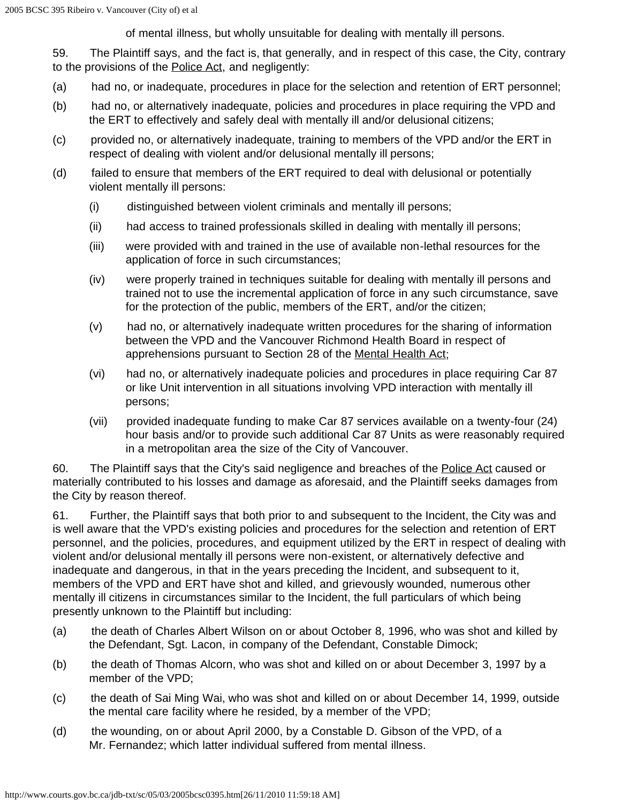of mental illness, but wholly unsuitable for dealing with mentally ill persons.

59. The Plaintiff says, and the fact is, that generally, and in respect of this case, the City, contrary to the provisions of the Police Act, and negligently:

- (a) had no, or inadequate, procedures in place for the selection and retention of ERT personnel;
- (b) had no, or alternatively inadequate, policies and procedures in place requiring the VPD and the ERT to effectively and safely deal with mentally ill and/or delusional citizens;
- (c) provided no, or alternatively inadequate, training to members of the VPD and/or the ERT in respect of dealing with violent and/or delusional mentally ill persons;
- (d) failed to ensure that members of the ERT required to deal with delusional or potentially violent mentally ill persons:
	- (i) distinguished between violent criminals and mentally ill persons;
	- (ii) had access to trained professionals skilled in dealing with mentally ill persons;
	- (iii) were provided with and trained in the use of available non-lethal resources for the application of force in such circumstances;
	- (iv) were properly trained in techniques suitable for dealing with mentally ill persons and trained not to use the incremental application of force in any such circumstance, save for the protection of the public, members of the ERT, and/or the citizen;
	- (v) had no, or alternatively inadequate written procedures for the sharing of information between the VPD and the Vancouver Richmond Health Board in respect of apprehensions pursuant to Section 28 of the Mental Health Act;
	- (vi) had no, or alternatively inadequate policies and procedures in place requiring Car 87 or like Unit intervention in all situations involving VPD interaction with mentally ill persons;
	- (vii) provided inadequate funding to make Car 87 services available on a twenty-four (24) hour basis and/or to provide such additional Car 87 Units as were reasonably required in a metropolitan area the size of the City of Vancouver.

60. The Plaintiff says that the City's said negligence and breaches of the Police Act caused or materially contributed to his losses and damage as aforesaid, and the Plaintiff seeks damages from the City by reason thereof.

61. Further, the Plaintiff says that both prior to and subsequent to the Incident, the City was and is well aware that the VPD's existing policies and procedures for the selection and retention of ERT personnel, and the policies, procedures, and equipment utilized by the ERT in respect of dealing with violent and/or delusional mentally ill persons were non-existent, or alternatively defective and inadequate and dangerous, in that in the years preceding the Incident, and subsequent to it, members of the VPD and ERT have shot and killed, and grievously wounded, numerous other mentally ill citizens in circumstances similar to the Incident, the full particulars of which being presently unknown to the Plaintiff but including:

- (a) the death of Charles Albert Wilson on or about October 8, 1996, who was shot and killed by the Defendant, Sgt. Lacon, in company of the Defendant, Constable Dimock;
- (b) the death of Thomas Alcorn, who was shot and killed on or about December 3, 1997 by a member of the VPD;
- (c) the death of Sai Ming Wai, who was shot and killed on or about December 14, 1999, outside the mental care facility where he resided, by a member of the VPD;
- (d) the wounding, on or about April 2000, by a Constable D. Gibson of the VPD, of a Mr. Fernandez; which latter individual suffered from mental illness.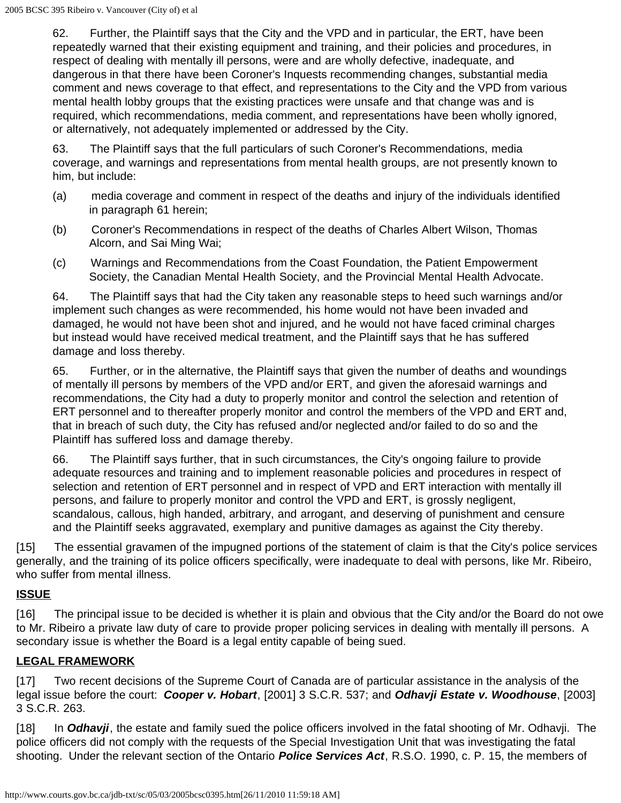62. Further, the Plaintiff says that the City and the VPD and in particular, the ERT, have been repeatedly warned that their existing equipment and training, and their policies and procedures, in respect of dealing with mentally ill persons, were and are wholly defective, inadequate, and dangerous in that there have been Coroner's Inquests recommending changes, substantial media comment and news coverage to that effect, and representations to the City and the VPD from various mental health lobby groups that the existing practices were unsafe and that change was and is required, which recommendations, media comment, and representations have been wholly ignored, or alternatively, not adequately implemented or addressed by the City.

63. The Plaintiff says that the full particulars of such Coroner's Recommendations, media coverage, and warnings and representations from mental health groups, are not presently known to him, but include:

- (a) media coverage and comment in respect of the deaths and injury of the individuals identified in paragraph 61 herein;
- (b) Coroner's Recommendations in respect of the deaths of Charles Albert Wilson, Thomas Alcorn, and Sai Ming Wai;
- (c) Warnings and Recommendations from the Coast Foundation, the Patient Empowerment Society, the Canadian Mental Health Society, and the Provincial Mental Health Advocate.

64. The Plaintiff says that had the City taken any reasonable steps to heed such warnings and/or implement such changes as were recommended, his home would not have been invaded and damaged, he would not have been shot and injured, and he would not have faced criminal charges but instead would have received medical treatment, and the Plaintiff says that he has suffered damage and loss thereby.

65. Further, or in the alternative, the Plaintiff says that given the number of deaths and woundings of mentally ill persons by members of the VPD and/or ERT, and given the aforesaid warnings and recommendations, the City had a duty to properly monitor and control the selection and retention of ERT personnel and to thereafter properly monitor and control the members of the VPD and ERT and, that in breach of such duty, the City has refused and/or neglected and/or failed to do so and the Plaintiff has suffered loss and damage thereby.

66. The Plaintiff says further, that in such circumstances, the City's ongoing failure to provide adequate resources and training and to implement reasonable policies and procedures in respect of selection and retention of ERT personnel and in respect of VPD and ERT interaction with mentally ill persons, and failure to properly monitor and control the VPD and ERT, is grossly negligent, scandalous, callous, high handed, arbitrary, and arrogant, and deserving of punishment and censure and the Plaintiff seeks aggravated, exemplary and punitive damages as against the City thereby.

[15] The essential gravamen of the impugned portions of the statement of claim is that the City's police services generally, and the training of its police officers specifically, were inadequate to deal with persons, like Mr. Ribeiro, who suffer from mental illness.

## **ISSUE**

[16] The principal issue to be decided is whether it is plain and obvious that the City and/or the Board do not owe to Mr. Ribeiro a private law duty of care to provide proper policing services in dealing with mentally ill persons. A secondary issue is whether the Board is a legal entity capable of being sued.

## **LEGAL FRAMEWORK**

[17] Two recent decisions of the Supreme Court of Canada are of particular assistance in the analysis of the legal issue before the court: *Cooper v. Hobart*, [2001] 3 S.C.R. 537; and *Odhavji Estate v. Woodhouse*, [2003] 3 S.C.R. 263.

[18] In *Odhavji*, the estate and family sued the police officers involved in the fatal shooting of Mr. Odhavji. The police officers did not comply with the requests of the Special Investigation Unit that was investigating the fatal shooting. Under the relevant section of the Ontario *Police Services Act*, R.S.O. 1990, c. P. 15, the members of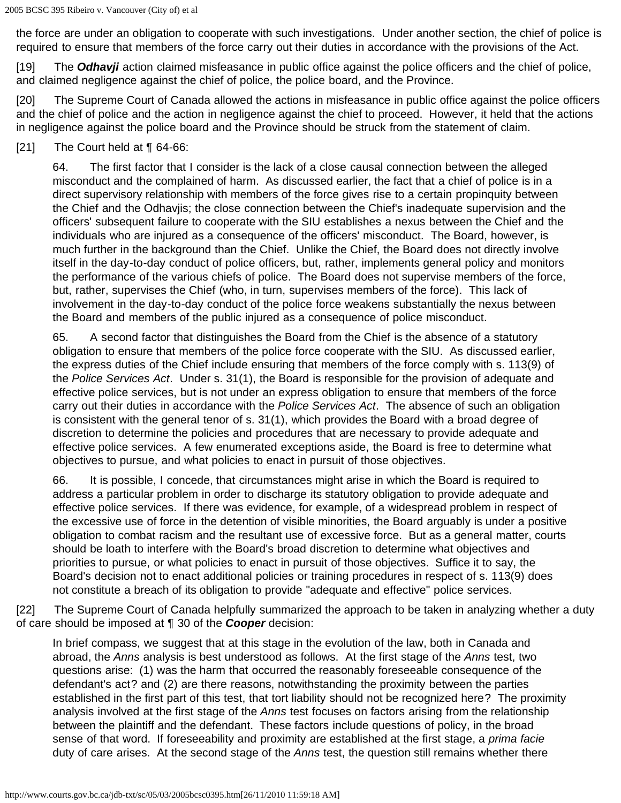the force are under an obligation to cooperate with such investigations. Under another section, the chief of police is required to ensure that members of the force carry out their duties in accordance with the provisions of the Act.

[19] The *Odhavji* action claimed misfeasance in public office against the police officers and the chief of police, and claimed negligence against the chief of police, the police board, and the Province.

[20] The Supreme Court of Canada allowed the actions in misfeasance in public office against the police officers and the chief of police and the action in negligence against the chief to proceed. However, it held that the actions in negligence against the police board and the Province should be struck from the statement of claim.

[21] The Court held at **[64-66:** 

64. The first factor that I consider is the lack of a close causal connection between the alleged misconduct and the complained of harm. As discussed earlier, the fact that a chief of police is in a direct supervisory relationship with members of the force gives rise to a certain propinquity between the Chief and the Odhavjis; the close connection between the Chief's inadequate supervision and the officers' subsequent failure to cooperate with the SIU establishes a nexus between the Chief and the individuals who are injured as a consequence of the officers' misconduct. The Board, however, is much further in the background than the Chief. Unlike the Chief, the Board does not directly involve itself in the day-to-day conduct of police officers, but, rather, implements general policy and monitors the performance of the various chiefs of police. The Board does not supervise members of the force, but, rather, supervises the Chief (who, in turn, supervises members of the force). This lack of involvement in the day-to-day conduct of the police force weakens substantially the nexus between the Board and members of the public injured as a consequence of police misconduct.

65. A second factor that distinguishes the Board from the Chief is the absence of a statutory obligation to ensure that members of the police force cooperate with the SIU. As discussed earlier, the express duties of the Chief include ensuring that members of the force comply with s. 113(9) of the *Police Services Act*. Under s. 31(1), the Board is responsible for the provision of adequate and effective police services, but is not under an express obligation to ensure that members of the force carry out their duties in accordance with the *Police Services Act*. The absence of such an obligation is consistent with the general tenor of s. 31(1), which provides the Board with a broad degree of discretion to determine the policies and procedures that are necessary to provide adequate and effective police services. A few enumerated exceptions aside, the Board is free to determine what objectives to pursue, and what policies to enact in pursuit of those objectives.

66. It is possible, I concede, that circumstances might arise in which the Board is required to address a particular problem in order to discharge its statutory obligation to provide adequate and effective police services. If there was evidence, for example, of a widespread problem in respect of the excessive use of force in the detention of visible minorities, the Board arguably is under a positive obligation to combat racism and the resultant use of excessive force. But as a general matter, courts should be loath to interfere with the Board's broad discretion to determine what objectives and priorities to pursue, or what policies to enact in pursuit of those objectives. Suffice it to say, the Board's decision not to enact additional policies or training procedures in respect of s. 113(9) does not constitute a breach of its obligation to provide "adequate and effective" police services.

[22] The Supreme Court of Canada helpfully summarized the approach to be taken in analyzing whether a duty of care should be imposed at ¶ 30 of the *Cooper* decision:

In brief compass, we suggest that at this stage in the evolution of the law, both in Canada and abroad, the *Anns* analysis is best understood as follows. At the first stage of the *Anns* test, two questions arise: (1) was the harm that occurred the reasonably foreseeable consequence of the defendant's act? and (2) are there reasons, notwithstanding the proximity between the parties established in the first part of this test, that tort liability should not be recognized here? The proximity analysis involved at the first stage of the *Anns* test focuses on factors arising from the relationship between the plaintiff and the defendant. These factors include questions of policy, in the broad sense of that word. If foreseeability and proximity are established at the first stage, a *prima facie* duty of care arises. At the second stage of the *Anns* test, the question still remains whether there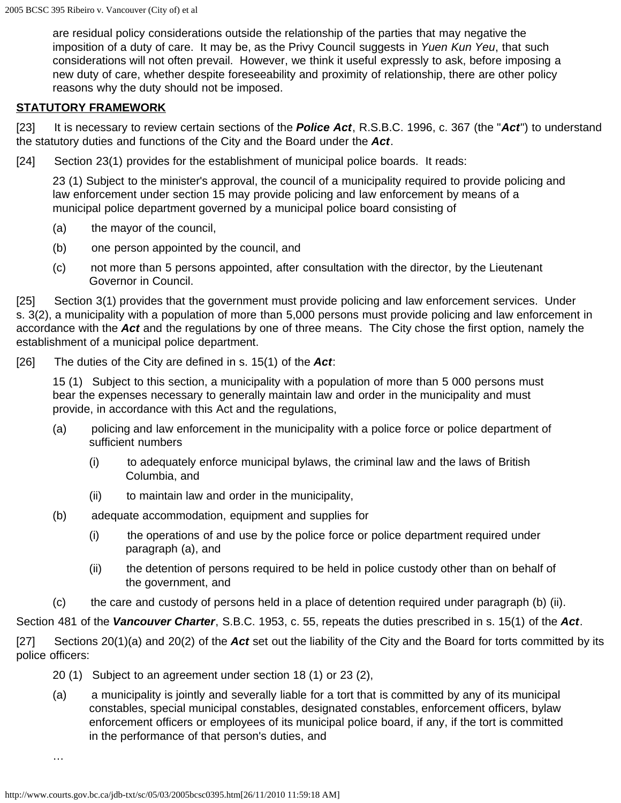are residual policy considerations outside the relationship of the parties that may negative the imposition of a duty of care. It may be, as the Privy Council suggests in *Yuen Kun Yeu*, that such considerations will not often prevail. However, we think it useful expressly to ask, before imposing a new duty of care, whether despite foreseeability and proximity of relationship, there are other policy reasons why the duty should not be imposed.

#### **STATUTORY FRAMEWORK**

[23] It is necessary to review certain sections of the *Police Act*, R.S.B.C. 1996, c. 367 (the "*Act*") to understand the statutory duties and functions of the City and the Board under the *Act*.

[24] Section 23(1) provides for the establishment of municipal police boards. It reads:

23 (1) Subject to the minister's approval, the council of a municipality required to provide policing and law enforcement under section 15 may provide policing and law enforcement by means of a municipal police department governed by a municipal police board consisting of

- (a) the mayor of the council,
- (b) one person appointed by the council, and
- (c) not more than 5 persons appointed, after consultation with the director, by the Lieutenant Governor in Council.

[25] Section 3(1) provides that the government must provide policing and law enforcement services. Under s. 3(2), a municipality with a population of more than 5,000 persons must provide policing and law enforcement in accordance with the *Act* and the regulations by one of three means. The City chose the first option, namely the establishment of a municipal police department.

[26] The duties of the City are defined in s. 15(1) of the *Act*:

15 (1) Subject to this section, a municipality with a population of more than 5 000 persons must bear the expenses necessary to generally maintain law and order in the municipality and must provide, in accordance with this Act and the regulations,

- (a) policing and law enforcement in the municipality with a police force or police department of sufficient numbers
	- (i) to adequately enforce municipal bylaws, the criminal law and the laws of British Columbia, and
	- (ii) to maintain law and order in the municipality,
- (b) adequate accommodation, equipment and supplies for
	- (i) the operations of and use by the police force or police department required under paragraph (a), and
	- (ii) the detention of persons required to be held in police custody other than on behalf of the government, and
- (c) the care and custody of persons held in a place of detention required under paragraph (b) (ii).

Section 481 of the *Vancouver Charter*, S.B.C. 1953, c. 55, repeats the duties prescribed in s. 15(1) of the *Act*.

[27] Sections 20(1)(a) and 20(2) of the *Act* set out the liability of the City and the Board for torts committed by its police officers:

- 20 (1) Subject to an agreement under section 18 (1) or 23 (2),
- (a) a municipality is jointly and severally liable for a tort that is committed by any of its municipal constables, special municipal constables, designated constables, enforcement officers, bylaw enforcement officers or employees of its municipal police board, if any, if the tort is committed in the performance of that person's duties, and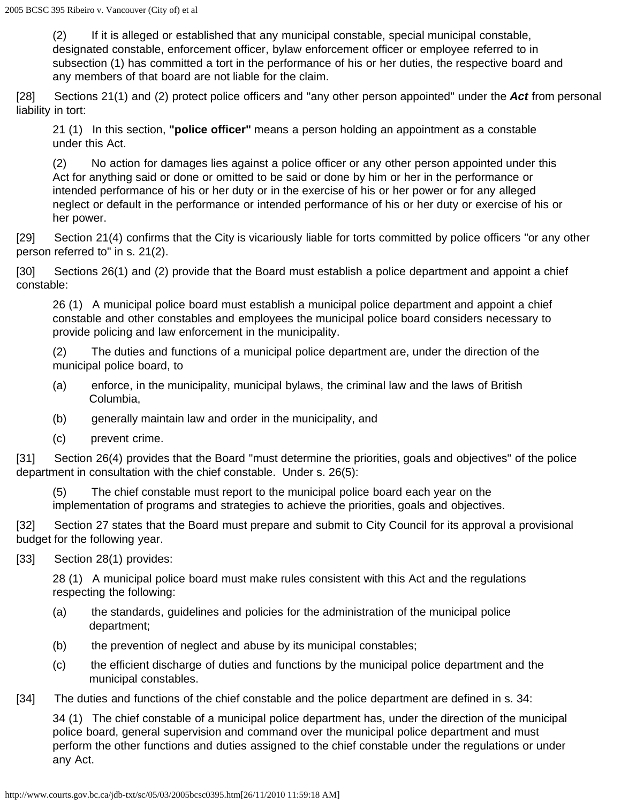(2) If it is alleged or established that any municipal constable, special municipal constable, designated constable, enforcement officer, bylaw enforcement officer or employee referred to in subsection (1) has committed a tort in the performance of his or her duties, the respective board and any members of that board are not liable for the claim.

[28] Sections 21(1) and (2) protect police officers and "any other person appointed" under the *Act* from personal liability in tort:

21 (1) In this section, **"police officer"** means a person holding an appointment as a constable under this Act.

(2) No action for damages lies against a police officer or any other person appointed under this Act for anything said or done or omitted to be said or done by him or her in the performance or intended performance of his or her duty or in the exercise of his or her power or for any alleged neglect or default in the performance or intended performance of his or her duty or exercise of his or her power.

[29] Section 21(4) confirms that the City is vicariously liable for torts committed by police officers "or any other person referred to" in s. 21(2).

[30] Sections 26(1) and (2) provide that the Board must establish a police department and appoint a chief constable:

26 (1) A municipal police board must establish a municipal police department and appoint a chief constable and other constables and employees the municipal police board considers necessary to provide policing and law enforcement in the municipality.

(2) The duties and functions of a municipal police department are, under the direction of the municipal police board, to

- (a) enforce, in the municipality, municipal bylaws, the criminal law and the laws of British Columbia,
- (b) generally maintain law and order in the municipality, and
- (c) prevent crime.

[31] Section 26(4) provides that the Board "must determine the priorities, goals and objectives" of the police department in consultation with the chief constable. Under s. 26(5):

(5) The chief constable must report to the municipal police board each year on the implementation of programs and strategies to achieve the priorities, goals and objectives.

[32] Section 27 states that the Board must prepare and submit to City Council for its approval a provisional budget for the following year.

[33] Section 28(1) provides:

28 (1) A municipal police board must make rules consistent with this Act and the regulations respecting the following:

- (a) the standards, guidelines and policies for the administration of the municipal police department;
- (b) the prevention of neglect and abuse by its municipal constables;
- (c) the efficient discharge of duties and functions by the municipal police department and the municipal constables.
- [34] The duties and functions of the chief constable and the police department are defined in s. 34:

34 (1) The chief constable of a municipal police department has, under the direction of the municipal police board, general supervision and command over the municipal police department and must perform the other functions and duties assigned to the chief constable under the regulations or under any Act.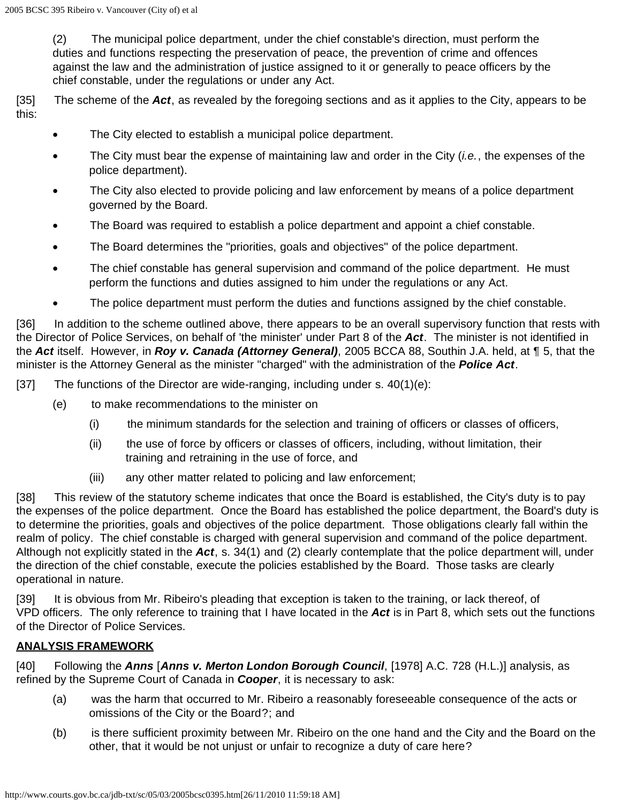(2) The municipal police department, under the chief constable's direction, must perform the duties and functions respecting the preservation of peace, the prevention of crime and offences against the law and the administration of justice assigned to it or generally to peace officers by the chief constable, under the regulations or under any Act.

[35] The scheme of the *Act*, as revealed by the foregoing sections and as it applies to the City, appears to be this:

- The City elected to establish a municipal police department.
- The City must bear the expense of maintaining law and order in the City (*i.e.*, the expenses of the police department).
- The City also elected to provide policing and law enforcement by means of a police department governed by the Board.
- The Board was required to establish a police department and appoint a chief constable.
- The Board determines the "priorities, goals and objectives" of the police department.
- The chief constable has general supervision and command of the police department. He must perform the functions and duties assigned to him under the regulations or any Act.
- The police department must perform the duties and functions assigned by the chief constable.

[36] In addition to the scheme outlined above, there appears to be an overall supervisory function that rests with the Director of Police Services, on behalf of 'the minister' under Part 8 of the *Act*. The minister is not identified in the *Act* itself. However, in *Roy v. Canada (Attorney General)*, 2005 BCCA 88, Southin J.A. held, at ¶ 5, that the minister is the Attorney General as the minister "charged" with the administration of the *Police Act*.

[37] The functions of the Director are wide-ranging, including under s. 40(1)(e):

- (e) to make recommendations to the minister on
	- (i) the minimum standards for the selection and training of officers or classes of officers,
	- (ii) the use of force by officers or classes of officers, including, without limitation, their training and retraining in the use of force, and
	- (iii) any other matter related to policing and law enforcement;

[38] This review of the statutory scheme indicates that once the Board is established, the City's duty is to pay the expenses of the police department. Once the Board has established the police department, the Board's duty is to determine the priorities, goals and objectives of the police department. Those obligations clearly fall within the realm of policy. The chief constable is charged with general supervision and command of the police department. Although not explicitly stated in the *Act*, s. 34(1) and (2) clearly contemplate that the police department will, under the direction of the chief constable, execute the policies established by the Board. Those tasks are clearly operational in nature.

[39] It is obvious from Mr. Ribeiro's pleading that exception is taken to the training, or lack thereof, of VPD officers. The only reference to training that I have located in the *Act* is in Part 8, which sets out the functions of the Director of Police Services.

#### **ANALYSIS FRAMEWORK**

[40] Following the *Anns* [*Anns v. Merton London Borough Council*, [1978] A.C. 728 (H.L.)] analysis, as refined by the Supreme Court of Canada in *Cooper*, it is necessary to ask:

- (a) was the harm that occurred to Mr. Ribeiro a reasonably foreseeable consequence of the acts or omissions of the City or the Board?; and
- (b) is there sufficient proximity between Mr. Ribeiro on the one hand and the City and the Board on the other, that it would be not unjust or unfair to recognize a duty of care here?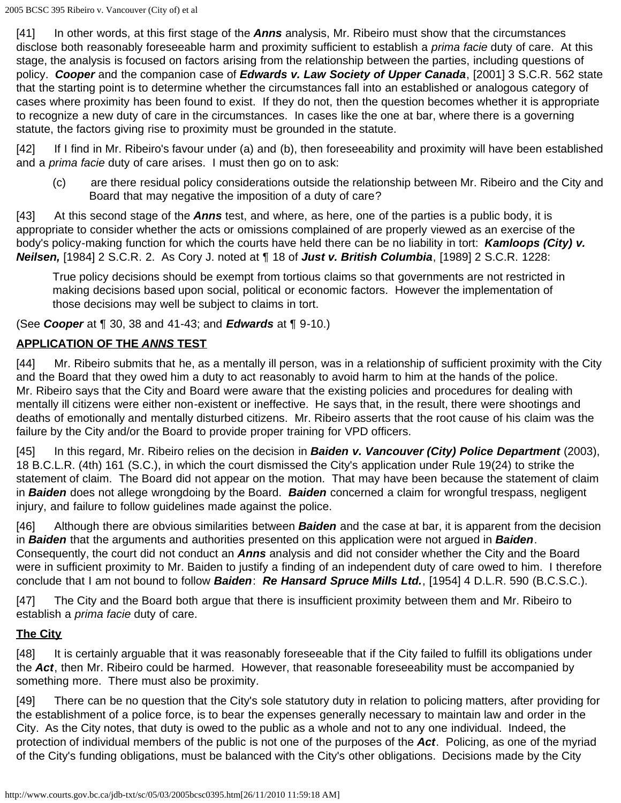[41] In other words, at this first stage of the *Anns* analysis, Mr. Ribeiro must show that the circumstances disclose both reasonably foreseeable harm and proximity sufficient to establish a *prima facie* duty of care. At this stage, the analysis is focused on factors arising from the relationship between the parties, including questions of policy. *Cooper* and the companion case of *Edwards v. Law Society of Upper Canada*, [2001] 3 S.C.R. 562 state that the starting point is to determine whether the circumstances fall into an established or analogous category of cases where proximity has been found to exist. If they do not, then the question becomes whether it is appropriate to recognize a new duty of care in the circumstances. In cases like the one at bar, where there is a governing statute, the factors giving rise to proximity must be grounded in the statute.

[42] If I find in Mr. Ribeiro's favour under (a) and (b), then foreseeability and proximity will have been established and a *prima facie* duty of care arises. I must then go on to ask:

(c) are there residual policy considerations outside the relationship between Mr. Ribeiro and the City and Board that may negative the imposition of a duty of care?

[43] At this second stage of the *Anns* test, and where, as here, one of the parties is a public body, it is appropriate to consider whether the acts or omissions complained of are properly viewed as an exercise of the body's policy-making function for which the courts have held there can be no liability in tort: *Kamloops (City) v. Neilsen,* [1984] 2 S.C.R. 2. As Cory J. noted at ¶ 18 of *Just v. British Columbia*, [1989] 2 S.C.R. 1228:

True policy decisions should be exempt from tortious claims so that governments are not restricted in making decisions based upon social, political or economic factors. However the implementation of those decisions may well be subject to claims in tort.

(See *Cooper* at ¶ 30, 38 and 41-43; and *Edwards* at ¶ 9-10.)

# **APPLICATION OF THE** *ANNS* **TEST**

[44] Mr. Ribeiro submits that he, as a mentally ill person, was in a relationship of sufficient proximity with the City and the Board that they owed him a duty to act reasonably to avoid harm to him at the hands of the police. Mr. Ribeiro says that the City and Board were aware that the existing policies and procedures for dealing with mentally ill citizens were either non-existent or ineffective. He says that, in the result, there were shootings and deaths of emotionally and mentally disturbed citizens. Mr. Ribeiro asserts that the root cause of his claim was the failure by the City and/or the Board to provide proper training for VPD officers.

[45] In this regard, Mr. Ribeiro relies on the decision in **Baiden v. Vancouver (City) Police Department** (2003), 18 B.C.L.R. (4th) 161 (S.C.), in which the court dismissed the City's application under Rule 19(24) to strike the statement of claim. The Board did not appear on the motion. That may have been because the statement of claim in *Baiden* does not allege wrongdoing by the Board. *Baiden* concerned a claim for wrongful trespass, negligent injury, and failure to follow guidelines made against the police.

[46] Although there are obvious similarities between *Baiden* and the case at bar, it is apparent from the decision in *Baiden* that the arguments and authorities presented on this application were not argued in *Baiden*. Consequently, the court did not conduct an *Anns* analysis and did not consider whether the City and the Board were in sufficient proximity to Mr. Baiden to justify a finding of an independent duty of care owed to him. I therefore conclude that I am not bound to follow *Baiden*: *Re Hansard Spruce Mills Ltd.*, [1954] 4 D.L.R. 590 (B.C.S.C.).

[47] The City and the Board both argue that there is insufficient proximity between them and Mr. Ribeiro to establish a *prima facie* duty of care.

## **The City**

[48] It is certainly arguable that it was reasonably foreseeable that if the City failed to fulfill its obligations under the *Act*, then Mr. Ribeiro could be harmed. However, that reasonable foreseeability must be accompanied by something more. There must also be proximity.

[49] There can be no question that the City's sole statutory duty in relation to policing matters, after providing for the establishment of a police force, is to bear the expenses generally necessary to maintain law and order in the City. As the City notes, that duty is owed to the public as a whole and not to any one individual. Indeed, the protection of individual members of the public is not one of the purposes of the *Act*. Policing, as one of the myriad of the City's funding obligations, must be balanced with the City's other obligations. Decisions made by the City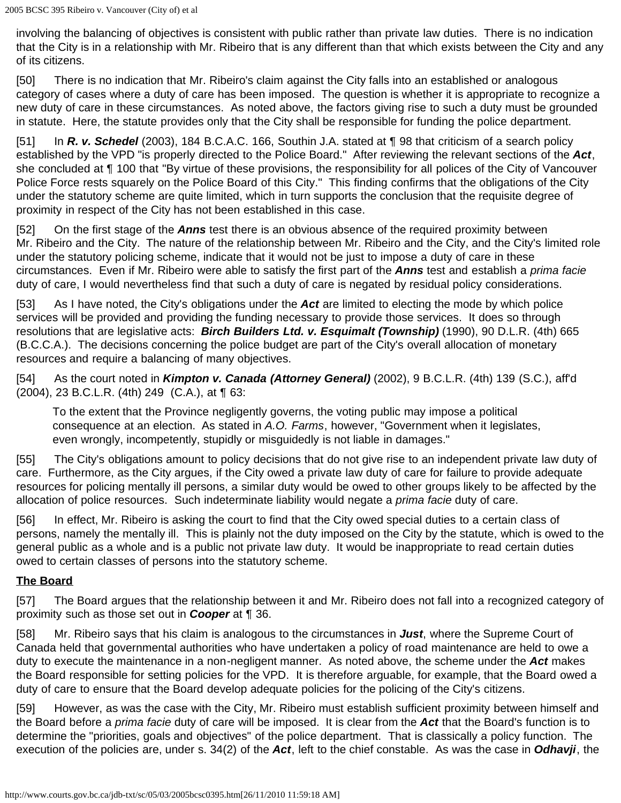involving the balancing of objectives is consistent with public rather than private law duties. There is no indication that the City is in a relationship with Mr. Ribeiro that is any different than that which exists between the City and any of its citizens.

[50] There is no indication that Mr. Ribeiro's claim against the City falls into an established or analogous category of cases where a duty of care has been imposed. The question is whether it is appropriate to recognize a new duty of care in these circumstances. As noted above, the factors giving rise to such a duty must be grounded in statute. Here, the statute provides only that the City shall be responsible for funding the police department.

[51] In *R. v. Schedel* (2003), 184 B.C.A.C. 166, Southin J.A. stated at ¶ 98 that criticism of a search policy established by the VPD "is properly directed to the Police Board." After reviewing the relevant sections of the *Act*, she concluded at ¶ 100 that "By virtue of these provisions, the responsibility for all polices of the City of Vancouver Police Force rests squarely on the Police Board of this City." This finding confirms that the obligations of the City under the statutory scheme are quite limited, which in turn supports the conclusion that the requisite degree of proximity in respect of the City has not been established in this case.

[52] On the first stage of the *Anns* test there is an obvious absence of the required proximity between Mr. Ribeiro and the City. The nature of the relationship between Mr. Ribeiro and the City, and the City's limited role under the statutory policing scheme, indicate that it would not be just to impose a duty of care in these circumstances. Even if Mr. Ribeiro were able to satisfy the first part of the *Anns* test and establish a *prima facie* duty of care, I would nevertheless find that such a duty of care is negated by residual policy considerations.

[53] As I have noted, the City's obligations under the *Act* are limited to electing the mode by which police services will be provided and providing the funding necessary to provide those services. It does so through resolutions that are legislative acts: *Birch Builders Ltd. v. Esquimalt (Township)* (1990), 90 D.L.R. (4th) 665 (B.C.C.A.). The decisions concerning the police budget are part of the City's overall allocation of monetary resources and require a balancing of many objectives.

[54] As the court noted in *Kimpton v. Canada (Attorney General)* (2002), 9 B.C.L.R. (4th) 139 (S.C.), aff'd (2004), 23 B.C.L.R. (4th) 249 (C.A.), at ¶ 63:

To the extent that the Province negligently governs, the voting public may impose a political consequence at an election. As stated in *A.O. Farms*, however, "Government when it legislates, even wrongly, incompetently, stupidly or misguidedly is not liable in damages."

[55] The City's obligations amount to policy decisions that do not give rise to an independent private law duty of care. Furthermore, as the City argues, if the City owed a private law duty of care for failure to provide adequate resources for policing mentally ill persons, a similar duty would be owed to other groups likely to be affected by the allocation of police resources. Such indeterminate liability would negate a *prima facie* duty of care.

[56] In effect, Mr. Ribeiro is asking the court to find that the City owed special duties to a certain class of persons, namely the mentally ill. This is plainly not the duty imposed on the City by the statute, which is owed to the general public as a whole and is a public not private law duty. It would be inappropriate to read certain duties owed to certain classes of persons into the statutory scheme.

## **The Board**

[57] The Board argues that the relationship between it and Mr. Ribeiro does not fall into a recognized category of proximity such as those set out in *Cooper* at ¶ 36.

[58] Mr. Ribeiro says that his claim is analogous to the circumstances in *Just*, where the Supreme Court of Canada held that governmental authorities who have undertaken a policy of road maintenance are held to owe a duty to execute the maintenance in a non-negligent manner. As noted above, the scheme under the *Act* makes the Board responsible for setting policies for the VPD. It is therefore arguable, for example, that the Board owed a duty of care to ensure that the Board develop adequate policies for the policing of the City's citizens.

[59] However, as was the case with the City, Mr. Ribeiro must establish sufficient proximity between himself and the Board before a *prima facie* duty of care will be imposed. It is clear from the *Act* that the Board's function is to determine the "priorities, goals and objectives" of the police department. That is classically a policy function. The execution of the policies are, under s. 34(2) of the *Act*, left to the chief constable. As was the case in *Odhavji*, the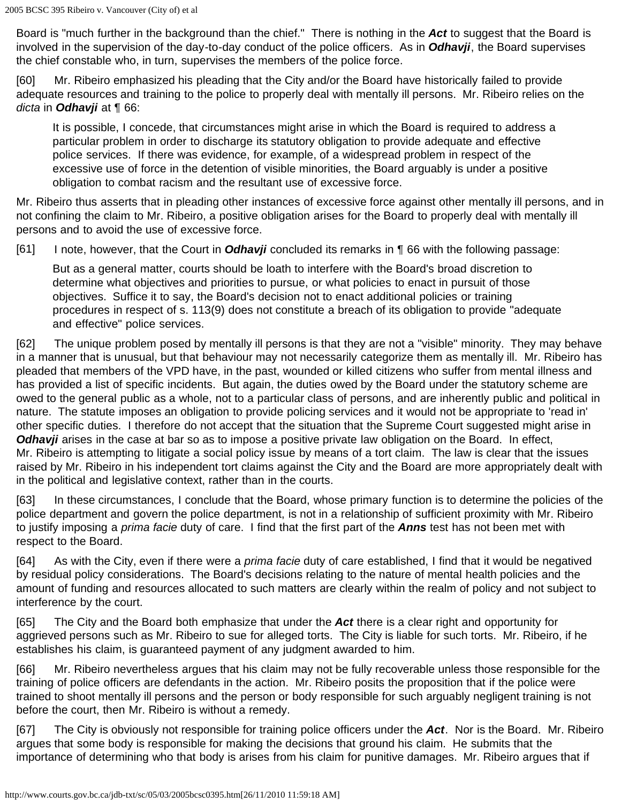Board is "much further in the background than the chief." There is nothing in the *Act* to suggest that the Board is involved in the supervision of the day-to-day conduct of the police officers. As in *Odhavji*, the Board supervises the chief constable who, in turn, supervises the members of the police force.

[60] Mr. Ribeiro emphasized his pleading that the City and/or the Board have historically failed to provide adequate resources and training to the police to properly deal with mentally ill persons. Mr. Ribeiro relies on the *dicta* in *Odhavji* at ¶ 66:

It is possible, I concede, that circumstances might arise in which the Board is required to address a particular problem in order to discharge its statutory obligation to provide adequate and effective police services. If there was evidence, for example, of a widespread problem in respect of the excessive use of force in the detention of visible minorities, the Board arguably is under a positive obligation to combat racism and the resultant use of excessive force.

Mr. Ribeiro thus asserts that in pleading other instances of excessive force against other mentally ill persons, and in not confining the claim to Mr. Ribeiro, a positive obligation arises for the Board to properly deal with mentally ill persons and to avoid the use of excessive force.

[61] I note, however, that the Court in *Odhavji* concluded its remarks in ¶ 66 with the following passage:

But as a general matter, courts should be loath to interfere with the Board's broad discretion to determine what objectives and priorities to pursue, or what policies to enact in pursuit of those objectives. Suffice it to say, the Board's decision not to enact additional policies or training procedures in respect of s. 113(9) does not constitute a breach of its obligation to provide "adequate and effective" police services.

[62] The unique problem posed by mentally ill persons is that they are not a "visible" minority. They may behave in a manner that is unusual, but that behaviour may not necessarily categorize them as mentally ill. Mr. Ribeiro has pleaded that members of the VPD have, in the past, wounded or killed citizens who suffer from mental illness and has provided a list of specific incidents. But again, the duties owed by the Board under the statutory scheme are owed to the general public as a whole, not to a particular class of persons, and are inherently public and political in nature. The statute imposes an obligation to provide policing services and it would not be appropriate to 'read in' other specific duties. I therefore do not accept that the situation that the Supreme Court suggested might arise in *Odhavji* arises in the case at bar so as to impose a positive private law obligation on the Board. In effect, Mr. Ribeiro is attempting to litigate a social policy issue by means of a tort claim. The law is clear that the issues raised by Mr. Ribeiro in his independent tort claims against the City and the Board are more appropriately dealt with in the political and legislative context, rather than in the courts.

[63] In these circumstances, I conclude that the Board, whose primary function is to determine the policies of the police department and govern the police department, is not in a relationship of sufficient proximity with Mr. Ribeiro to justify imposing a *prima facie* duty of care. I find that the first part of the *Anns* test has not been met with respect to the Board.

[64] As with the City, even if there were a *prima facie* duty of care established, I find that it would be negatived by residual policy considerations. The Board's decisions relating to the nature of mental health policies and the amount of funding and resources allocated to such matters are clearly within the realm of policy and not subject to interference by the court.

[65] The City and the Board both emphasize that under the *Act* there is a clear right and opportunity for aggrieved persons such as Mr. Ribeiro to sue for alleged torts. The City is liable for such torts. Mr. Ribeiro, if he establishes his claim, is guaranteed payment of any judgment awarded to him.

[66] Mr. Ribeiro nevertheless argues that his claim may not be fully recoverable unless those responsible for the training of police officers are defendants in the action. Mr. Ribeiro posits the proposition that if the police were trained to shoot mentally ill persons and the person or body responsible for such arguably negligent training is not before the court, then Mr. Ribeiro is without a remedy.

[67] The City is obviously not responsible for training police officers under the *Act*. Nor is the Board. Mr. Ribeiro argues that some body is responsible for making the decisions that ground his claim. He submits that the importance of determining who that body is arises from his claim for punitive damages. Mr. Ribeiro argues that if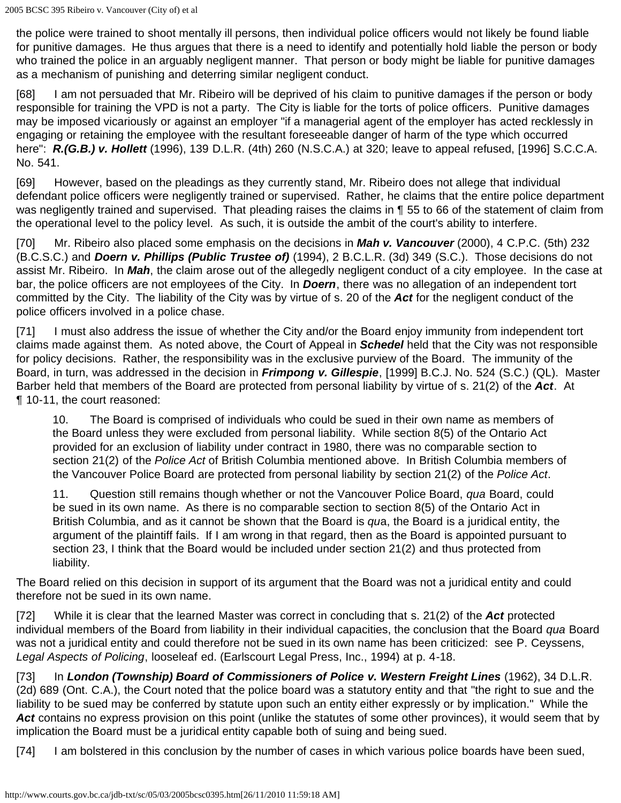the police were trained to shoot mentally ill persons, then individual police officers would not likely be found liable for punitive damages. He thus argues that there is a need to identify and potentially hold liable the person or body who trained the police in an arguably negligent manner. That person or body might be liable for punitive damages as a mechanism of punishing and deterring similar negligent conduct.

[68] I am not persuaded that Mr. Ribeiro will be deprived of his claim to punitive damages if the person or body responsible for training the VPD is not a party. The City is liable for the torts of police officers. Punitive damages may be imposed vicariously or against an employer "if a managerial agent of the employer has acted recklessly in engaging or retaining the employee with the resultant foreseeable danger of harm of the type which occurred here": *R.(G.B.) v. Hollett* (1996), 139 D.L.R. (4th) 260 (N.S.C.A.) at 320; leave to appeal refused, [1996] S.C.C.A. No. 541.

[69] However, based on the pleadings as they currently stand, Mr. Ribeiro does not allege that individual defendant police officers were negligently trained or supervised. Rather, he claims that the entire police department was negligently trained and supervised. That pleading raises the claims in ¶ 55 to 66 of the statement of claim from the operational level to the policy level. As such, it is outside the ambit of the court's ability to interfere.

[70] Mr. Ribeiro also placed some emphasis on the decisions in *Mah v. Vancouver* (2000), 4 C.P.C. (5th) 232 (B.C.S.C.) and *Doern v. Phillips (Public Trustee of)* (1994), 2 B.C.L.R. (3d) 349 (S.C.). Those decisions do not assist Mr. Ribeiro. In *Mah*, the claim arose out of the allegedly negligent conduct of a city employee. In the case at bar, the police officers are not employees of the City. In *Doern*, there was no allegation of an independent tort committed by the City. The liability of the City was by virtue of s. 20 of the *Act* for the negligent conduct of the police officers involved in a police chase.

[71] I must also address the issue of whether the City and/or the Board enjoy immunity from independent tort claims made against them. As noted above, the Court of Appeal in *Schedel* held that the City was not responsible for policy decisions. Rather, the responsibility was in the exclusive purview of the Board. The immunity of the Board, in turn, was addressed in the decision in *Frimpong v. Gillespie*, [1999] B.C.J. No. 524 (S.C.) (QL). Master Barber held that members of the Board are protected from personal liability by virtue of s. 21(2) of the *Act*. At ¶ 10-11, the court reasoned:

10. The Board is comprised of individuals who could be sued in their own name as members of the Board unless they were excluded from personal liability. While section 8(5) of the Ontario Act provided for an exclusion of liability under contract in 1980, there was no comparable section to section 21(2) of the *Police Act* of British Columbia mentioned above. In British Columbia members of the Vancouver Police Board are protected from personal liability by section 21(2) of the *Police Act*.

11. Question still remains though whether or not the Vancouver Police Board, *qua* Board, could be sued in its own name. As there is no comparable section to section 8(5) of the Ontario Act in British Columbia, and as it cannot be shown that the Board is *qu*a, the Board is a juridical entity, the argument of the plaintiff fails. If I am wrong in that regard, then as the Board is appointed pursuant to section 23, I think that the Board would be included under section 21(2) and thus protected from liability.

The Board relied on this decision in support of its argument that the Board was not a juridical entity and could therefore not be sued in its own name.

[72] While it is clear that the learned Master was correct in concluding that s. 21(2) of the *Act* protected individual members of the Board from liability in their individual capacities, the conclusion that the Board *qua* Board was not a juridical entity and could therefore not be sued in its own name has been criticized: see P. Ceyssens, *Legal Aspects of Policing*, looseleaf ed. (Earlscourt Legal Press, Inc., 1994) at p. 4-18.

[73] In *London (Township) Board of Commissioners of Police v. Western Freight Lines* (1962), 34 D.L.R. (2d) 689 (Ont. C.A.), the Court noted that the police board was a statutory entity and that "the right to sue and the liability to be sued may be conferred by statute upon such an entity either expressly or by implication." While the *Act* contains no express provision on this point (unlike the statutes of some other provinces), it would seem that by implication the Board must be a juridical entity capable both of suing and being sued.

[74] I am bolstered in this conclusion by the number of cases in which various police boards have been sued,